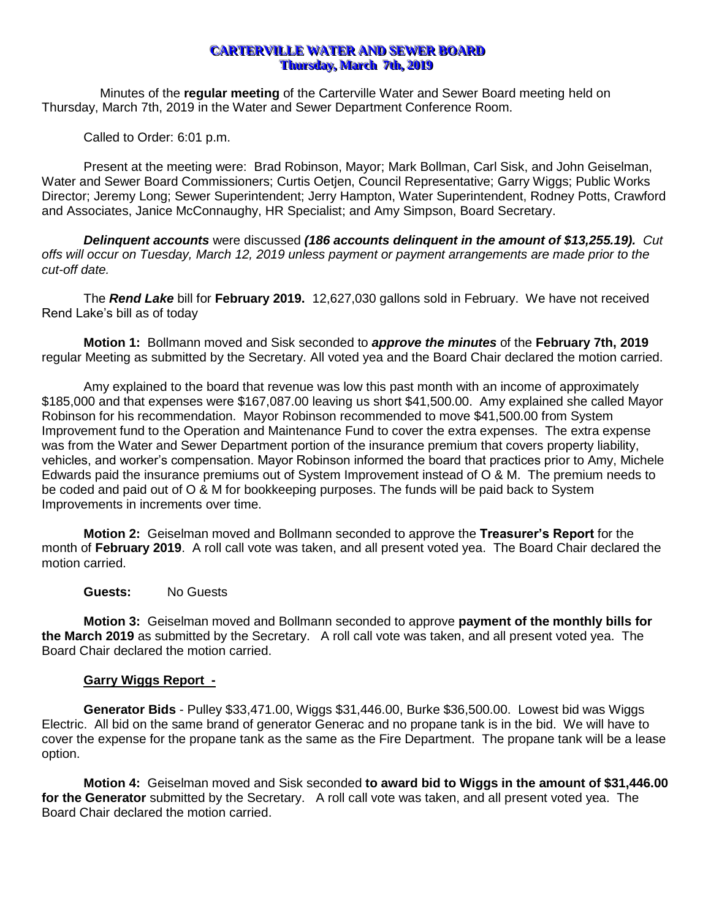# **CARTERVILLE WATER AND SEWER BOARD Thursday, March** *7th***, 2019**

Minutes of the **regular meeting** of the Carterville Water and Sewer Board meeting held on Thursday, March 7th, 2019 in the Water and Sewer Department Conference Room.

Called to Order: 6:01 p.m.

Present at the meeting were: Brad Robinson, Mayor; Mark Bollman, Carl Sisk, and John Geiselman, Water and Sewer Board Commissioners; Curtis Oetjen, Council Representative; Garry Wiggs; Public Works Director; Jeremy Long; Sewer Superintendent; Jerry Hampton, Water Superintendent, Rodney Potts, Crawford and Associates, Janice McConnaughy, HR Specialist; and Amy Simpson, Board Secretary.

*Delinquent accounts* were discussed *(186 accounts delinquent in the amount of \$13,255.19). Cut offs will occur on Tuesday, March 12, 2019 unless payment or payment arrangements are made prior to the cut-off date.*

The *Rend Lake* bill for **February 2019.** 12,627,030 gallons sold in February. We have not received Rend Lake's bill as of today

**Motion 1:** Bollmann moved and Sisk seconded to *approve the minutes* of the **February 7th, 2019** regular Meeting as submitted by the Secretary. All voted yea and the Board Chair declared the motion carried.

Amy explained to the board that revenue was low this past month with an income of approximately \$185,000 and that expenses were \$167,087.00 leaving us short \$41,500.00. Amy explained she called Mayor Robinson for his recommendation. Mayor Robinson recommended to move \$41,500.00 from System Improvement fund to the Operation and Maintenance Fund to cover the extra expenses. The extra expense was from the Water and Sewer Department portion of the insurance premium that covers property liability, vehicles, and worker's compensation. Mayor Robinson informed the board that practices prior to Amy, Michele Edwards paid the insurance premiums out of System Improvement instead of O & M. The premium needs to be coded and paid out of O & M for bookkeeping purposes. The funds will be paid back to System Improvements in increments over time.

**Motion 2:** Geiselman moved and Bollmann seconded to approve the **Treasurer's Report** for the month of **February 2019**. A roll call vote was taken, and all present voted yea. The Board Chair declared the motion carried.

#### **Guests:** No Guests

**Motion 3:** Geiselman moved and Bollmann seconded to approve **payment of the monthly bills for the March 2019** as submitted by the Secretary. A roll call vote was taken, and all present voted yea. The Board Chair declared the motion carried.

#### **Garry Wiggs Report -**

**Generator Bids** - Pulley \$33,471.00, Wiggs \$31,446.00, Burke \$36,500.00. Lowest bid was Wiggs Electric. All bid on the same brand of generator Generac and no propane tank is in the bid. We will have to cover the expense for the propane tank as the same as the Fire Department. The propane tank will be a lease option.

**Motion 4:** Geiselman moved and Sisk seconded **to award bid to Wiggs in the amount of \$31,446.00 for the Generator** submitted by the Secretary. A roll call vote was taken, and all present voted yea. The Board Chair declared the motion carried.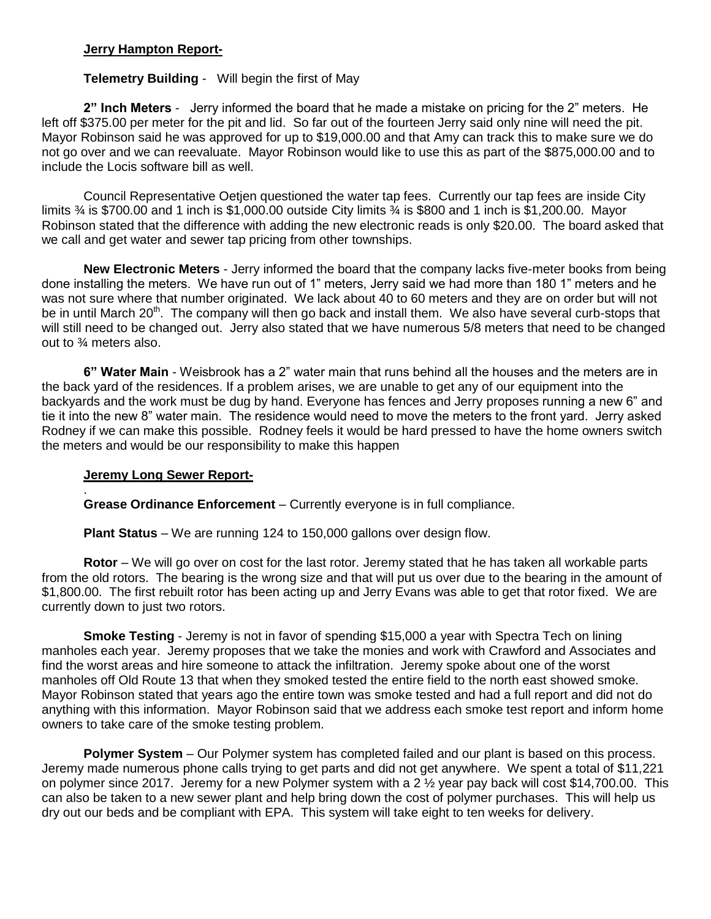## **Jerry Hampton Report-**

# **Telemetry Building** - Will begin the first of May

**2" Inch Meters** - Jerry informed the board that he made a mistake on pricing for the 2" meters. He left off \$375.00 per meter for the pit and lid. So far out of the fourteen Jerry said only nine will need the pit. Mayor Robinson said he was approved for up to \$19,000.00 and that Amy can track this to make sure we do not go over and we can reevaluate. Mayor Robinson would like to use this as part of the \$875,000.00 and to include the Locis software bill as well.

Council Representative Oetjen questioned the water tap fees. Currently our tap fees are inside City limits ¾ is \$700.00 and 1 inch is \$1,000.00 outside City limits ¾ is \$800 and 1 inch is \$1,200.00. Mayor Robinson stated that the difference with adding the new electronic reads is only \$20.00. The board asked that we call and get water and sewer tap pricing from other townships.

**New Electronic Meters** - Jerry informed the board that the company lacks five-meter books from being done installing the meters. We have run out of 1" meters, Jerry said we had more than 180 1" meters and he was not sure where that number originated. We lack about 40 to 60 meters and they are on order but will not be in until March 20<sup>th</sup>. The company will then go back and install them. We also have several curb-stops that will still need to be changed out. Jerry also stated that we have numerous 5/8 meters that need to be changed out to ¾ meters also.

**6" Water Main** - Weisbrook has a 2" water main that runs behind all the houses and the meters are in the back yard of the residences. If a problem arises, we are unable to get any of our equipment into the backyards and the work must be dug by hand. Everyone has fences and Jerry proposes running a new 6" and tie it into the new 8" water main. The residence would need to move the meters to the front yard. Jerry asked Rodney if we can make this possible. Rodney feels it would be hard pressed to have the home owners switch the meters and would be our responsibility to make this happen

# **Jeremy Long Sewer Report-**

. **Grease Ordinance Enforcement** – Currently everyone is in full compliance.

**Plant Status** – We are running 124 to 150,000 gallons over design flow.

**Rotor** – We will go over on cost for the last rotor. Jeremy stated that he has taken all workable parts from the old rotors. The bearing is the wrong size and that will put us over due to the bearing in the amount of \$1,800.00. The first rebuilt rotor has been acting up and Jerry Evans was able to get that rotor fixed. We are currently down to just two rotors.

**Smoke Testing** - Jeremy is not in favor of spending \$15,000 a year with Spectra Tech on lining manholes each year. Jeremy proposes that we take the monies and work with Crawford and Associates and find the worst areas and hire someone to attack the infiltration. Jeremy spoke about one of the worst manholes off Old Route 13 that when they smoked tested the entire field to the north east showed smoke. Mayor Robinson stated that years ago the entire town was smoke tested and had a full report and did not do anything with this information. Mayor Robinson said that we address each smoke test report and inform home owners to take care of the smoke testing problem.

**Polymer System** – Our Polymer system has completed failed and our plant is based on this process. Jeremy made numerous phone calls trying to get parts and did not get anywhere. We spent a total of \$11,221 on polymer since 2017. Jeremy for a new Polymer system with a 2 ½ year pay back will cost \$14,700.00. This can also be taken to a new sewer plant and help bring down the cost of polymer purchases. This will help us dry out our beds and be compliant with EPA. This system will take eight to ten weeks for delivery.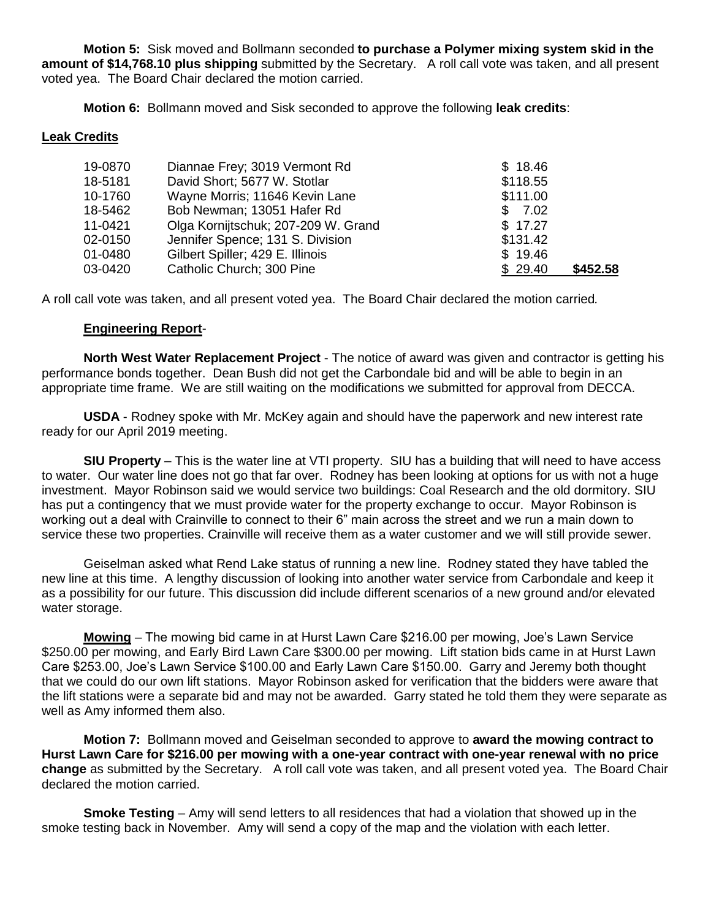**Motion 5:** Sisk moved and Bollmann seconded **to purchase a Polymer mixing system skid in the amount of \$14,768.10 plus shipping** submitted by the Secretary. A roll call vote was taken, and all present voted yea. The Board Chair declared the motion carried.

**Motion 6:** Bollmann moved and Sisk seconded to approve the following **leak credits**:

# **Leak Credits**

| 19-0870 | Diannae Frey; 3019 Vermont Rd       | \$18.46  |          |
|---------|-------------------------------------|----------|----------|
| 18-5181 | David Short; 5677 W. Stotlar        | \$118.55 |          |
| 10-1760 | Wayne Morris; 11646 Kevin Lane      | \$111.00 |          |
| 18-5462 | Bob Newman; 13051 Hafer Rd          | \$7.02   |          |
| 11-0421 | Olga Kornijtschuk; 207-209 W. Grand | \$17.27  |          |
| 02-0150 | Jennifer Spence; 131 S. Division    | \$131.42 |          |
| 01-0480 | Gilbert Spiller; 429 E. Illinois    | \$19.46  |          |
| 03-0420 | Catholic Church; 300 Pine           | \$29.40  | \$452.58 |

A roll call vote was taken, and all present voted yea. The Board Chair declared the motion carried*.*

# **Engineering Report**-

**North West Water Replacement Project** - The notice of award was given and contractor is getting his performance bonds together. Dean Bush did not get the Carbondale bid and will be able to begin in an appropriate time frame. We are still waiting on the modifications we submitted for approval from DECCA.

**USDA** - Rodney spoke with Mr. McKey again and should have the paperwork and new interest rate ready for our April 2019 meeting.

**SIU Property** – This is the water line at VTI property. SIU has a building that will need to have access to water. Our water line does not go that far over. Rodney has been looking at options for us with not a huge investment. Mayor Robinson said we would service two buildings: Coal Research and the old dormitory. SIU has put a contingency that we must provide water for the property exchange to occur. Mayor Robinson is working out a deal with Crainville to connect to their 6" main across the street and we run a main down to service these two properties. Crainville will receive them as a water customer and we will still provide sewer.

Geiselman asked what Rend Lake status of running a new line. Rodney stated they have tabled the new line at this time. A lengthy discussion of looking into another water service from Carbondale and keep it as a possibility for our future. This discussion did include different scenarios of a new ground and/or elevated water storage.

**Mowing** – The mowing bid came in at Hurst Lawn Care \$216.00 per mowing, Joe's Lawn Service \$250.00 per mowing, and Early Bird Lawn Care \$300.00 per mowing. Lift station bids came in at Hurst Lawn Care \$253.00, Joe's Lawn Service \$100.00 and Early Lawn Care \$150.00. Garry and Jeremy both thought that we could do our own lift stations. Mayor Robinson asked for verification that the bidders were aware that the lift stations were a separate bid and may not be awarded. Garry stated he told them they were separate as well as Amy informed them also.

**Motion 7:** Bollmann moved and Geiselman seconded to approve to **award the mowing contract to Hurst Lawn Care for \$216.00 per mowing with a one-year contract with one-year renewal with no price change** as submitted by the Secretary. A roll call vote was taken, and all present voted yea. The Board Chair declared the motion carried.

**Smoke Testing** – Amy will send letters to all residences that had a violation that showed up in the smoke testing back in November. Amy will send a copy of the map and the violation with each letter.